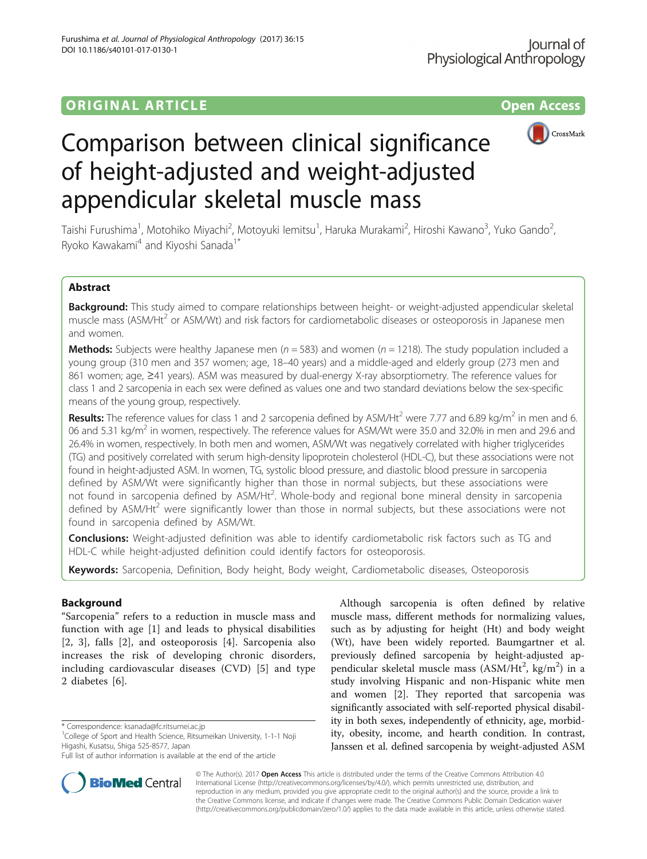## ORIGINAL ARTICLE **CONSERVANCE CONSERVANCE CONSERVANCE CONSERVANCE CONSERVANCE CONSERVANCE CONSERVANCE CONSERVANCE**



# Comparison between clinical significance of height-adjusted and weight-adjusted appendicular skeletal muscle mass

Taishi Furushima<sup>1</sup>, Motohiko Miyachi<sup>2</sup>, Motoyuki lemitsu<sup>1</sup>, Haruka Murakami<sup>2</sup>, Hiroshi Kawano<sup>3</sup>, Yuko Gando<sup>2</sup> , Ryoko Kawakami<sup>4</sup> and Kiyoshi Sanada<sup>1\*</sup>

## Abstract

Background: This study aimed to compare relationships between height- or weight-adjusted appendicular skeletal muscle mass (ASM/Ht<sup>2</sup> or ASM/Wt) and risk factors for cardiometabolic diseases or osteoporosis in Japanese men and women.

**Methods:** Subjects were healthy Japanese men ( $n = 583$ ) and women ( $n = 1218$ ). The study population included a young group (310 men and 357 women; age, 18–40 years) and a middle-aged and elderly group (273 men and 861 women; age, ≥41 years). ASM was measured by dual-energy X-ray absorptiometry. The reference values for class 1 and 2 sarcopenia in each sex were defined as values one and two standard deviations below the sex-specific means of the young group, respectively.

**Results:** The reference values for class 1 and 2 sarcopenia defined by ASM/Ht<sup>2</sup> were 7.77 and 6.89 kg/m<sup>2</sup> in men and 6. 06 and 5.31 kg/m<sup>2</sup> in women, respectively. The reference values for ASM/Wt were 35.0 and 32.0% in men and 29.6 and 26.4% in women, respectively. In both men and women, ASM/Wt was negatively correlated with higher triglycerides (TG) and positively correlated with serum high-density lipoprotein cholesterol (HDL-C), but these associations were not found in height-adjusted ASM. In women, TG, systolic blood pressure, and diastolic blood pressure in sarcopenia defined by ASM/Wt were significantly higher than those in normal subjects, but these associations were not found in sarcopenia defined by ASM/Ht<sup>2</sup>. Whole-body and regional bone mineral density in sarcopenia defined by ASM/Ht<sup>2</sup> were significantly lower than those in normal subjects, but these associations were not found in sarcopenia defined by ASM/Wt.

**Conclusions:** Weight-adjusted definition was able to identify cardiometabolic risk factors such as TG and HDL-C while height-adjusted definition could identify factors for osteoporosis.

Keywords: Sarcopenia, Definition, Body height, Body weight, Cardiometabolic diseases, Osteoporosis

## Background

"Sarcopenia" refers to a reduction in muscle mass and function with age [[1\]](#page-7-0) and leads to physical disabilities [[2, 3](#page-7-0)], falls [[2\]](#page-7-0), and osteoporosis [\[4](#page-7-0)]. Sarcopenia also increases the risk of developing chronic disorders, including cardiovascular diseases (CVD) [[5\]](#page-7-0) and type 2 diabetes [[6\]](#page-7-0).

<sup>1</sup>College of Sport and Health Science, Ritsumeikan University, 1-1-1 Noji Higashi, Kusatsu, Shiga 525-8577, Japan



**BioMed** Central

© The Author(s). 2017 **Open Access** This article is distributed under the terms of the Creative Commons Attribution 4.0 International License [\(http://creativecommons.org/licenses/by/4.0/](http://creativecommons.org/licenses/by/4.0/)), which permits unrestricted use, distribution, and reproduction in any medium, provided you give appropriate credit to the original author(s) and the source, provide a link to the Creative Commons license, and indicate if changes were made. The Creative Commons Public Domain Dedication waiver [\(http://creativecommons.org/publicdomain/zero/1.0/](http://creativecommons.org/publicdomain/zero/1.0/)) applies to the data made available in this article, unless otherwise stated.

<sup>\*</sup> Correspondence: [ksanada@fc.ritsumei.ac.jp](mailto:ksanada@fc.ritsumei.ac.jp) <sup>1</sup>

Full list of author information is available at the end of the article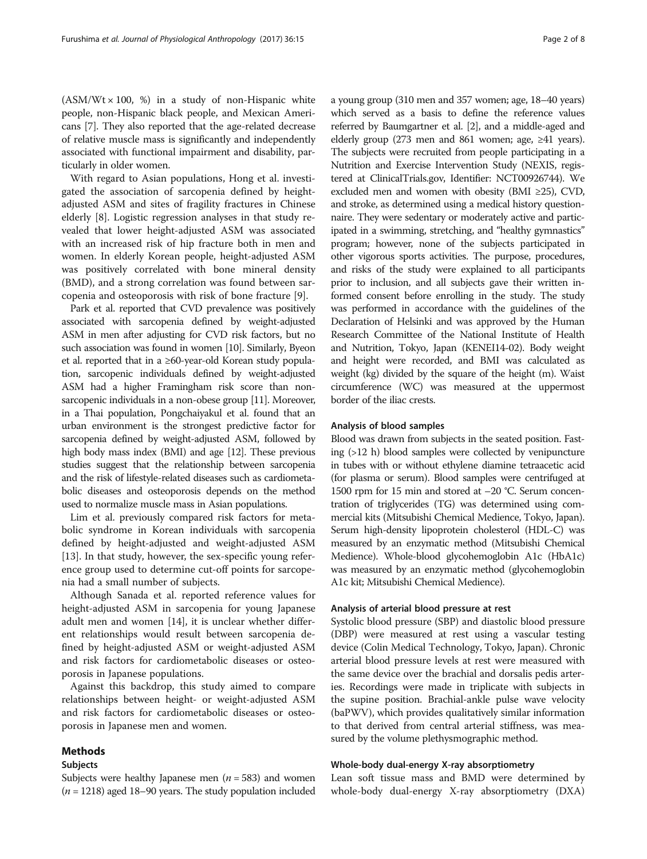$(ASM/Wt \times 100, %)$  in a study of non-Hispanic white people, non-Hispanic black people, and Mexican Americans [[7\]](#page-7-0). They also reported that the age-related decrease of relative muscle mass is significantly and independently associated with functional impairment and disability, particularly in older women.

With regard to Asian populations, Hong et al. investigated the association of sarcopenia defined by heightadjusted ASM and sites of fragility fractures in Chinese elderly [[8\]](#page-7-0). Logistic regression analyses in that study revealed that lower height-adjusted ASM was associated with an increased risk of hip fracture both in men and women. In elderly Korean people, height-adjusted ASM was positively correlated with bone mineral density (BMD), and a strong correlation was found between sarcopenia and osteoporosis with risk of bone fracture [[9\]](#page-7-0).

Park et al. reported that CVD prevalence was positively associated with sarcopenia defined by weight-adjusted ASM in men after adjusting for CVD risk factors, but no such association was found in women [\[10\]](#page-7-0). Similarly, Byeon et al. reported that in a ≥60-year-old Korean study population, sarcopenic individuals defined by weight-adjusted ASM had a higher Framingham risk score than nonsarcopenic individuals in a non-obese group [[11](#page-7-0)]. Moreover, in a Thai population, Pongchaiyakul et al. found that an urban environment is the strongest predictive factor for sarcopenia defined by weight-adjusted ASM, followed by high body mass index (BMI) and age [\[12\]](#page-7-0). These previous studies suggest that the relationship between sarcopenia and the risk of lifestyle-related diseases such as cardiometabolic diseases and osteoporosis depends on the method used to normalize muscle mass in Asian populations.

Lim et al. previously compared risk factors for metabolic syndrome in Korean individuals with sarcopenia defined by height-adjusted and weight-adjusted ASM [[13\]](#page-7-0). In that study, however, the sex-specific young reference group used to determine cut-off points for sarcopenia had a small number of subjects.

Although Sanada et al. reported reference values for height-adjusted ASM in sarcopenia for young Japanese adult men and women [[14](#page-7-0)], it is unclear whether different relationships would result between sarcopenia defined by height-adjusted ASM or weight-adjusted ASM and risk factors for cardiometabolic diseases or osteoporosis in Japanese populations.

Against this backdrop, this study aimed to compare relationships between height- or weight-adjusted ASM and risk factors for cardiometabolic diseases or osteoporosis in Japanese men and women.

## Methods

## Subjects

Subjects were healthy Japanese men ( $n = 583$ ) and women  $(n = 1218)$  aged 18–90 years. The study population included a young group (310 men and 357 women; age, 18–40 years) which served as a basis to define the reference values referred by Baumgartner et al. [[2](#page-7-0)], and a middle-aged and elderly group (273 men and 861 women; age, ≥41 years). The subjects were recruited from people participating in a Nutrition and Exercise Intervention Study (NEXIS, registered at ClinicalTrials.gov, Identifier: NCT00926744). We excluded men and women with obesity (BMI ≥25), CVD, and stroke, as determined using a medical history questionnaire. They were sedentary or moderately active and participated in a swimming, stretching, and "healthy gymnastics" program; however, none of the subjects participated in other vigorous sports activities. The purpose, procedures, and risks of the study were explained to all participants prior to inclusion, and all subjects gave their written informed consent before enrolling in the study. The study was performed in accordance with the guidelines of the Declaration of Helsinki and was approved by the Human Research Committee of the National Institute of Health and Nutrition, Tokyo, Japan (KENEI14-02). Body weight and height were recorded, and BMI was calculated as weight (kg) divided by the square of the height (m). Waist circumference (WC) was measured at the uppermost border of the iliac crests.

## Analysis of blood samples

Blood was drawn from subjects in the seated position. Fasting (>12 h) blood samples were collected by venipuncture in tubes with or without ethylene diamine tetraacetic acid (for plasma or serum). Blood samples were centrifuged at 1500 rpm for 15 min and stored at –20 °C. Serum concentration of triglycerides (TG) was determined using commercial kits (Mitsubishi Chemical Medience, Tokyo, Japan). Serum high-density lipoprotein cholesterol (HDL-C) was measured by an enzymatic method (Mitsubishi Chemical Medience). Whole-blood glycohemoglobin A1c (HbA1c) was measured by an enzymatic method (glycohemoglobin A1c kit; Mitsubishi Chemical Medience).

## Analysis of arterial blood pressure at rest

Systolic blood pressure (SBP) and diastolic blood pressure (DBP) were measured at rest using a vascular testing device (Colin Medical Technology, Tokyo, Japan). Chronic arterial blood pressure levels at rest were measured with the same device over the brachial and dorsalis pedis arteries. Recordings were made in triplicate with subjects in the supine position. Brachial-ankle pulse wave velocity (baPWV), which provides qualitatively similar information to that derived from central arterial stiffness, was measured by the volume plethysmographic method.

## Whole-body dual-energy X-ray absorptiometry

Lean soft tissue mass and BMD were determined by whole-body dual-energy X-ray absorptiometry (DXA)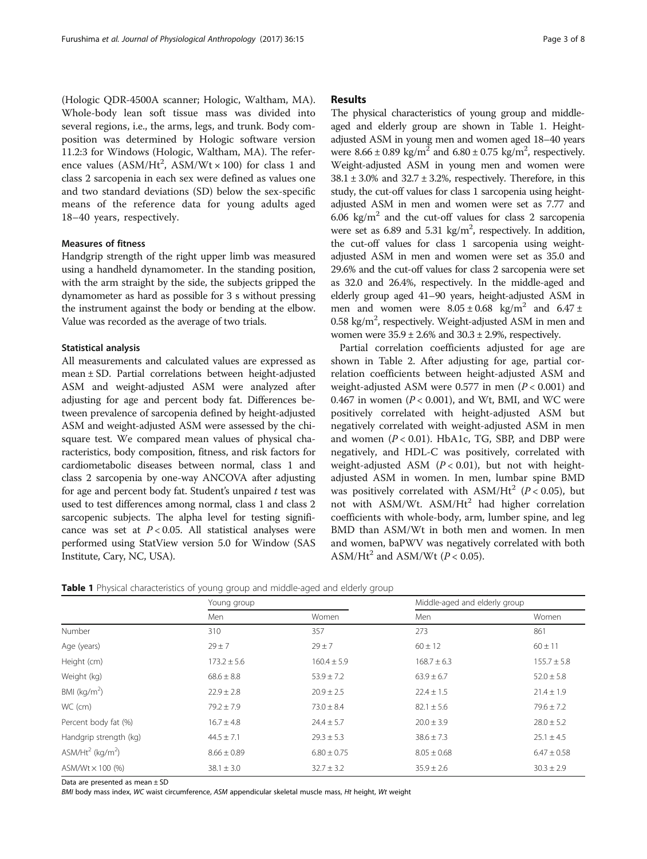(Hologic QDR-4500A scanner; Hologic, Waltham, MA). Whole-body lean soft tissue mass was divided into several regions, i.e., the arms, legs, and trunk. Body composition was determined by Hologic software version 11.2:3 for Windows (Hologic, Waltham, MA). The reference values  $(ASM/Hit^2, \text{ ASM}/Wt \times 100)$  for class 1 and class 2 sarcopenia in each sex were defined as values one and two standard deviations (SD) below the sex-specific means of the reference data for young adults aged 18–40 years, respectively.

## Measures of fitness

Handgrip strength of the right upper limb was measured using a handheld dynamometer. In the standing position, with the arm straight by the side, the subjects gripped the dynamometer as hard as possible for 3 s without pressing the instrument against the body or bending at the elbow. Value was recorded as the average of two trials.

## Statistical analysis

All measurements and calculated values are expressed as mean ± SD. Partial correlations between height-adjusted ASM and weight-adjusted ASM were analyzed after adjusting for age and percent body fat. Differences between prevalence of sarcopenia defined by height-adjusted ASM and weight-adjusted ASM were assessed by the chisquare test. We compared mean values of physical characteristics, body composition, fitness, and risk factors for cardiometabolic diseases between normal, class 1 and class 2 sarcopenia by one-way ANCOVA after adjusting for age and percent body fat. Student's unpaired  $t$  test was used to test differences among normal, class 1 and class 2 sarcopenic subjects. The alpha level for testing significance was set at  $P < 0.05$ . All statistical analyses were performed using StatView version 5.0 for Window (SAS Institute, Cary, NC, USA).

## Results

The physical characteristics of young group and middleaged and elderly group are shown in Table 1. Heightadjusted ASM in young men and women aged 18–40 years were  $8.66 \pm 0.89$  kg/m<sup>2</sup> and  $6.80 \pm 0.75$  kg/m<sup>2</sup>, respectively. Weight-adjusted ASM in young men and women were  $38.1 \pm 3.0\%$  and  $32.7 \pm 3.2\%$ , respectively. Therefore, in this study, the cut-off values for class 1 sarcopenia using heightadjusted ASM in men and women were set as 7.77 and 6.06 kg/m<sup>2</sup> and the cut-off values for class 2 sarcopenia were set as  $6.89$  and  $5.31 \text{ kg/m}^2$ , respectively. In addition, the cut-off values for class 1 sarcopenia using weightadjusted ASM in men and women were set as 35.0 and 29.6% and the cut-off values for class 2 sarcopenia were set as 32.0 and 26.4%, respectively. In the middle-aged and elderly group aged 41–90 years, height-adjusted ASM in men and women were  $8.05 \pm 0.68$  kg/m<sup>2</sup> and  $6.47 \pm$ 0.58 kg/m<sup>2</sup>, respectively. Weight-adjusted ASM in men and women were  $35.9 \pm 2.6\%$  and  $30.3 \pm 2.9\%$ , respectively.

Partial correlation coefficients adjusted for age are shown in Table [2](#page-3-0). After adjusting for age, partial correlation coefficients between height-adjusted ASM and weight-adjusted ASM were 0.577 in men  $(P < 0.001)$  and 0.467 in women ( $P < 0.001$ ), and Wt, BMI, and WC were positively correlated with height-adjusted ASM but negatively correlated with weight-adjusted ASM in men and women  $(P < 0.01)$ . HbA1c, TG, SBP, and DBP were negatively, and HDL-C was positively, correlated with weight-adjusted ASM  $(P < 0.01)$ , but not with heightadjusted ASM in women. In men, lumbar spine BMD was positively correlated with ASM/Ht<sup>2</sup> ( $P < 0.05$ ), but not with ASM/Wt. ASM/Ht<sup>2</sup> had higher correlation coefficients with whole-body, arm, lumber spine, and leg BMD than ASM/Wt in both men and women. In men and women, baPWV was negatively correlated with both ASM/Ht<sup>2</sup> and ASM/Wt ( $P < 0.05$ ).

| Table 1 Physical characteristics of young group and middle-aged and elderly group |  |  |  |
|-----------------------------------------------------------------------------------|--|--|--|
|-----------------------------------------------------------------------------------|--|--|--|

|                                          | Young group     |                 | Middle-aged and elderly group |                 |
|------------------------------------------|-----------------|-----------------|-------------------------------|-----------------|
|                                          | Men             | Women           | Men                           | Women           |
| Number                                   | 310             | 357             | 273                           | 861             |
| Age (years)                              | $29 \pm 7$      | $29 \pm 7$      | $60 \pm 12$                   | $60 \pm 11$     |
| Height (cm)                              | $173.2 \pm 5.6$ | $160.4 \pm 5.9$ | $168.7 \pm 6.3$               | $155.7 \pm 5.8$ |
| Weight (kg)                              | $68.6 \pm 8.8$  | $53.9 \pm 7.2$  | $63.9 \pm 6.7$                | $52.0 \pm 5.8$  |
| BMI ( $kg/m2$ )                          | $22.9 \pm 2.8$  | $20.9 \pm 2.5$  | $22.4 \pm 1.5$                | $21.4 \pm 1.9$  |
| WC (cm)                                  | $79.2 \pm 7.9$  | $73.0 \pm 8.4$  | $82.1 \pm 5.6$                | $79.6 \pm 7.2$  |
| Percent body fat (%)                     | $16.7 \pm 4.8$  | $24.4 \pm 5.7$  | $20.0 \pm 3.9$                | $28.0 \pm 5.2$  |
| Handgrip strength (kg)                   | $44.5 \pm 7.1$  | $29.3 \pm 5.3$  | $38.6 \pm 7.3$                | $25.1 \pm 4.5$  |
| ASM/Ht <sup>2</sup> (kg/m <sup>2</sup> ) | $8.66 \pm 0.89$ | $6.80 \pm 0.75$ | $8.05 \pm 0.68$               | $6.47 \pm 0.58$ |
| ASM/Wt $\times$ 100 (%)                  | $38.1 \pm 3.0$  | $32.7 \pm 3.2$  | $35.9 \pm 2.6$                | $30.3 \pm 2.9$  |

Data are presented as mean ± SD

BMI body mass index, WC waist circumference, ASM appendicular skeletal muscle mass, Ht height, Wt weight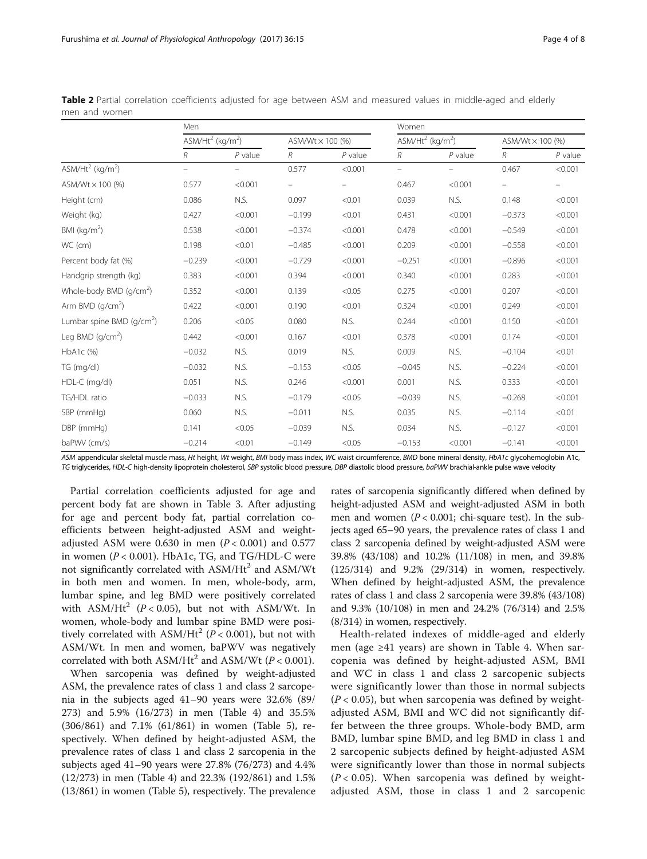|                                          | Men                                                   |           |                           |           | Women                                    |           |                         |           |  |
|------------------------------------------|-------------------------------------------------------|-----------|---------------------------|-----------|------------------------------------------|-----------|-------------------------|-----------|--|
|                                          | $\overline{ASM}/\overline{Ht}^2$ (kg/m <sup>2</sup> ) |           | ASM/Wt $\times$ 100 $(%)$ |           | ASM/Ht <sup>2</sup> (kg/m <sup>2</sup> ) |           | ASM/Wt $\times$ 100 (%) |           |  |
|                                          | R                                                     | $P$ value | $\mathcal{R}$             | $P$ value | R                                        | $P$ value | R                       | $P$ value |  |
| ASM/Ht <sup>2</sup> (kg/m <sup>2</sup> ) |                                                       |           | 0.577                     | < 0.001   | $\qquad \qquad -$                        |           | 0.467                   | < 0.001   |  |
| ASM/Wt × 100 (%)                         | 0.577                                                 | < 0.001   |                           |           | 0.467                                    | < 0.001   |                         |           |  |
| Height (cm)                              | 0.086                                                 | N.S.      | 0.097                     | < 0.01    | 0.039                                    | N.S.      | 0.148                   | < 0.001   |  |
| Weight (kg)                              | 0.427                                                 | < 0.001   | $-0.199$                  | < 0.01    | 0.431                                    | < 0.001   | $-0.373$                | < 0.001   |  |
| BMI ( $\text{kg/m}^2$ )                  | 0.538                                                 | < 0.001   | $-0.374$                  | < 0.001   | 0.478                                    | < 0.001   | $-0.549$                | < 0.001   |  |
| WC (cm)                                  | 0.198                                                 | < 0.01    | $-0.485$                  | < 0.001   | 0.209                                    | < 0.001   | $-0.558$                | < 0.001   |  |
| Percent body fat (%)                     | $-0.239$                                              | < 0.001   | $-0.729$                  | < 0.001   | $-0.251$                                 | < 0.001   | $-0.896$                | < 0.001   |  |
| Handgrip strength (kg)                   | 0.383                                                 | < 0.001   | 0.394                     | < 0.001   | 0.340                                    | < 0.001   | 0.283                   | < 0.001   |  |
| Whole-body BMD (g/cm <sup>2</sup> )      | 0.352                                                 | < 0.001   | 0.139                     | < 0.05    | 0.275                                    | < 0.001   | 0.207                   | < 0.001   |  |
| Arm BMD (g/cm <sup>2</sup> )             | 0.422                                                 | < 0.001   | 0.190                     | < 0.01    | 0.324                                    | < 0.001   | 0.249                   | < 0.001   |  |
| Lumbar spine BMD ( $q/cm2$ )             | 0.206                                                 | < 0.05    | 0.080                     | N.S.      | 0.244                                    | < 0.001   | 0.150                   | < 0.001   |  |
| Leg BMD $(g/cm2)$                        | 0.442                                                 | < 0.001   | 0.167                     | < 0.01    | 0.378                                    | < 0.001   | 0.174                   | < 0.001   |  |
| HbA1c (%)                                | $-0.032$                                              | N.S.      | 0.019                     | N.S.      | 0.009                                    | N.S.      | $-0.104$                | < 0.01    |  |
| TG (mg/dl)                               | $-0.032$                                              | N.S.      | $-0.153$                  | < 0.05    | $-0.045$                                 | N.S.      | $-0.224$                | < 0.001   |  |
| HDL-C (mg/dl)                            | 0.051                                                 | N.S.      | 0.246                     | < 0.001   | 0.001                                    | N.S.      | 0.333                   | < 0.001   |  |
| TG/HDL ratio                             | $-0.033$                                              | N.S.      | $-0.179$                  | < 0.05    | $-0.039$                                 | N.S.      | $-0.268$                | < 0.001   |  |
| SBP (mmHg)                               | 0.060                                                 | N.S.      | $-0.011$                  | N.S.      | 0.035                                    | N.S.      | $-0.114$                | < 0.01    |  |
| DBP (mmHg)                               | 0.141                                                 | < 0.05    | $-0.039$                  | N.S.      | 0.034                                    | N.S.      | $-0.127$                | < 0.001   |  |
| baPWV (cm/s)                             | $-0.214$                                              | < 0.01    | $-0.149$                  | < 0.05    | $-0.153$                                 | < 0.001   | $-0.141$                | < 0.001   |  |

<span id="page-3-0"></span>Table 2 Partial correlation coefficients adjusted for age between ASM and measured values in middle-aged and elderly men and women

ASM appendicular skeletal muscle mass, Ht height, Wt weight, BMI body mass index, WC waist circumference, BMD bone mineral density, HbA1c glycohemoglobin A1c, TG triglycerides, HDL-C high-density lipoprotein cholesterol, SBP systolic blood pressure, DBP diastolic blood pressure, baPWV brachial-ankle pulse wave velocity

Partial correlation coefficients adjusted for age and percent body fat are shown in Table [3.](#page-4-0) After adjusting for age and percent body fat, partial correlation coefficients between height-adjusted ASM and weightadjusted ASM were 0.630 in men  $(P < 0.001)$  and 0.577 in women  $(P < 0.001)$ . HbA1c, TG, and TG/HDL-C were not significantly correlated with  $ASM/Hit^2$  and  $ASM/Wt$ in both men and women. In men, whole-body, arm, lumbar spine, and leg BMD were positively correlated with ASM/Ht<sup>2</sup> ( $P < 0.05$ ), but not with ASM/Wt. In women, whole-body and lumbar spine BMD were positively correlated with  $ASM/He^{2}$  ( $P < 0.001$ ), but not with ASM/Wt. In men and women, baPWV was negatively correlated with both  $ASM/Hit^2$  and  $ASM/Wt$  ( $P < 0.001$ ).

When sarcopenia was defined by weight-adjusted ASM, the prevalence rates of class 1 and class 2 sarcopenia in the subjects aged 41–90 years were 32.6% (89/ 273) and 5.9% (16/273) in men (Table [4\)](#page-5-0) and 35.5% (306/861) and 7.1% (61/861) in women (Table [5](#page-6-0)), respectively. When defined by height-adjusted ASM, the prevalence rates of class 1 and class 2 sarcopenia in the subjects aged 41–90 years were 27.8% (76/273) and 4.4% (12/273) in men (Table [4\)](#page-5-0) and 22.3% (192/861) and 1.5% (13/861) in women (Table [5](#page-6-0)), respectively. The prevalence

rates of sarcopenia significantly differed when defined by height-adjusted ASM and weight-adjusted ASM in both men and women ( $P < 0.001$ ; chi-square test). In the subjects aged 65–90 years, the prevalence rates of class 1 and class 2 sarcopenia defined by weight-adjusted ASM were 39.8% (43/108) and 10.2% (11/108) in men, and 39.8% (125/314) and 9.2% (29/314) in women, respectively. When defined by height-adjusted ASM, the prevalence rates of class 1 and class 2 sarcopenia were 39.8% (43/108) and 9.3% (10/108) in men and 24.2% (76/314) and 2.5% (8/314) in women, respectively.

Health-related indexes of middle-aged and elderly men (age ≥41 years) are shown in Table [4](#page-5-0). When sarcopenia was defined by height-adjusted ASM, BMI and WC in class 1 and class 2 sarcopenic subjects were significantly lower than those in normal subjects  $(P < 0.05)$ , but when sarcopenia was defined by weightadjusted ASM, BMI and WC did not significantly differ between the three groups. Whole-body BMD, arm BMD, lumbar spine BMD, and leg BMD in class 1 and 2 sarcopenic subjects defined by height-adjusted ASM were significantly lower than those in normal subjects  $(P < 0.05)$ . When sarcopenia was defined by weightadjusted ASM, those in class 1 and 2 sarcopenic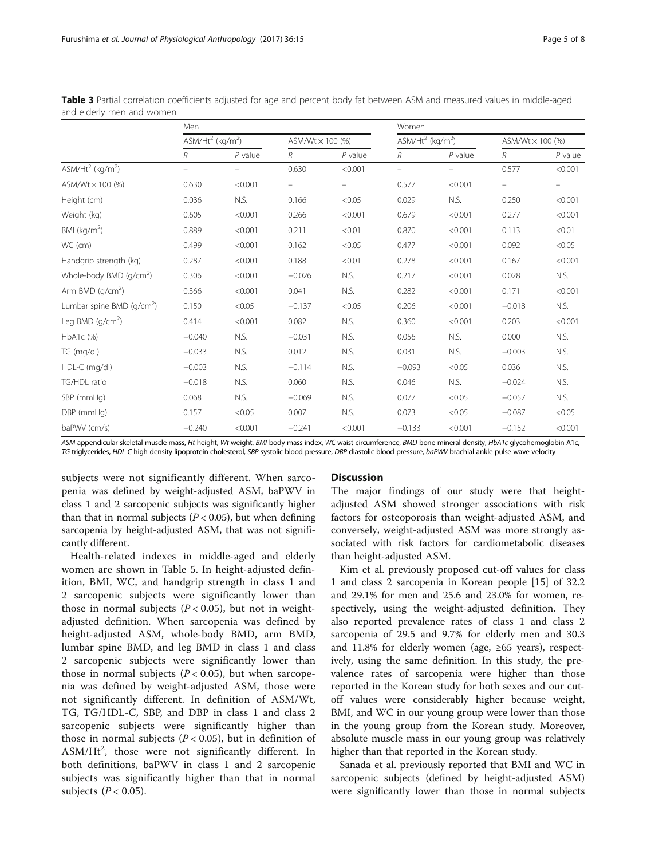|                                          | Men                                                   |           |          |                         | Women    |                                 |          |                  |  |
|------------------------------------------|-------------------------------------------------------|-----------|----------|-------------------------|----------|---------------------------------|----------|------------------|--|
|                                          | $\overline{ASM}/\overline{Ht}^2$ (kg/m <sup>2</sup> ) |           |          | $ASM/Wt \times 100$ (%) |          | $ASM/Ht^2$ (kg/m <sup>2</sup> ) |          | ASM/Wt × 100 (%) |  |
|                                          | R                                                     | $P$ value | R        | $P$ value               | R        | $P$ value                       | R        | $P$ value        |  |
| ASM/Ht <sup>2</sup> (kg/m <sup>2</sup> ) |                                                       |           | 0.630    | < 0.001                 | -        |                                 | 0.577    | < 0.001          |  |
| ASM/Wt $\times$ 100 (%)                  | 0.630                                                 | < 0.001   |          |                         | 0.577    | < 0.001                         |          |                  |  |
| Height (cm)                              | 0.036                                                 | N.S.      | 0.166    | < 0.05                  | 0.029    | N.S.                            | 0.250    | < 0.001          |  |
| Weight (kg)                              | 0.605                                                 | < 0.001   | 0.266    | < 0.001                 | 0.679    | < 0.001                         | 0.277    | < 0.001          |  |
| BMI ( $kg/m2$ )                          | 0.889                                                 | < 0.001   | 0.211    | < 0.01                  | 0.870    | < 0.001                         | 0.113    | < 0.01           |  |
| WC (cm)                                  | 0.499                                                 | < 0.001   | 0.162    | < 0.05                  | 0.477    | < 0.001                         | 0.092    | < 0.05           |  |
| Handgrip strength (kg)                   | 0.287                                                 | < 0.001   | 0.188    | < 0.01                  | 0.278    | < 0.001                         | 0.167    | < 0.001          |  |
| Whole-body BMD (q/cm <sup>2</sup> )      | 0.306                                                 | < 0.001   | $-0.026$ | N.S.                    | 0.217    | < 0.001                         | 0.028    | N.S.             |  |
| Arm BMD $(g/cm2)$                        | 0.366                                                 | < 0.001   | 0.041    | N.S.                    | 0.282    | < 0.001                         | 0.171    | < 0.001          |  |
| Lumbar spine BMD $(q/cm2)$               | 0.150                                                 | < 0.05    | $-0.137$ | < 0.05                  | 0.206    | < 0.001                         | $-0.018$ | N.S.             |  |
| Leg BMD $(q/cm2)$                        | 0.414                                                 | < 0.001   | 0.082    | N.S.                    | 0.360    | < 0.001                         | 0.203    | < 0.001          |  |
| HbA1c (%)                                | $-0.040$                                              | N.S.      | $-0.031$ | N.S.                    | 0.056    | N.S.                            | 0.000    | N.S.             |  |
| TG (mg/dl)                               | $-0.033$                                              | N.S.      | 0.012    | N.S.                    | 0.031    | N.S.                            | $-0.003$ | N.S.             |  |
| HDL-C (mg/dl)                            | $-0.003$                                              | N.S.      | $-0.114$ | N.S.                    | $-0.093$ | < 0.05                          | 0.036    | N.S.             |  |
| TG/HDL ratio                             | $-0.018$                                              | N.S.      | 0.060    | N.S.                    | 0.046    | N.S.                            | $-0.024$ | N.S.             |  |
| SBP (mmHg)                               | 0.068                                                 | N.S.      | $-0.069$ | N.S.                    | 0.077    | < 0.05                          | $-0.057$ | N.S.             |  |
| DBP (mmHg)                               | 0.157                                                 | < 0.05    | 0.007    | N.S.                    | 0.073    | < 0.05                          | $-0.087$ | < 0.05           |  |
| baPWV (cm/s)                             | $-0.240$                                              | < 0.001   | $-0.241$ | < 0.001                 | $-0.133$ | < 0.001                         | $-0.152$ | < 0.001          |  |

<span id="page-4-0"></span>Table 3 Partial correlation coefficients adjusted for age and percent body fat between ASM and measured values in middle-aged and elderly men and women

ASM appendicular skeletal muscle mass, Ht height, Wt weight, BMI body mass index, WC waist circumference, BMD bone mineral density, HbA1c glycohemoglobin A1c, TG triglycerides, HDL-C high-density lipoprotein cholesterol, SBP systolic blood pressure, DBP diastolic blood pressure, baPWV brachial-ankle pulse wave velocity

subjects were not significantly different. When sarcopenia was defined by weight-adjusted ASM, baPWV in class 1 and 2 sarcopenic subjects was significantly higher than that in normal subjects ( $P < 0.05$ ), but when defining sarcopenia by height-adjusted ASM, that was not significantly different.

Health-related indexes in middle-aged and elderly women are shown in Table [5](#page-6-0). In height-adjusted definition, BMI, WC, and handgrip strength in class 1 and 2 sarcopenic subjects were significantly lower than those in normal subjects ( $P < 0.05$ ), but not in weightadjusted definition. When sarcopenia was defined by height-adjusted ASM, whole-body BMD, arm BMD, lumbar spine BMD, and leg BMD in class 1 and class 2 sarcopenic subjects were significantly lower than those in normal subjects ( $P < 0.05$ ), but when sarcopenia was defined by weight-adjusted ASM, those were not significantly different. In definition of ASM/Wt, TG, TG/HDL-C, SBP, and DBP in class 1 and class 2 sarcopenic subjects were significantly higher than those in normal subjects ( $P < 0.05$ ), but in definition of  $\text{ASM}/\text{Ht}^2$ , those were not significantly different. In both definitions, baPWV in class 1 and 2 sarcopenic subjects was significantly higher than that in normal subjects  $(P < 0.05)$ .

## **Discussion**

The major findings of our study were that heightadjusted ASM showed stronger associations with risk factors for osteoporosis than weight-adjusted ASM, and conversely, weight-adjusted ASM was more strongly associated with risk factors for cardiometabolic diseases than height-adjusted ASM.

Kim et al. previously proposed cut-off values for class 1 and class 2 sarcopenia in Korean people [\[15](#page-7-0)] of 32.2 and 29.1% for men and 25.6 and 23.0% for women, respectively, using the weight-adjusted definition. They also reported prevalence rates of class 1 and class 2 sarcopenia of 29.5 and 9.7% for elderly men and 30.3 and 11.8% for elderly women (age,  $\geq 65$  years), respectively, using the same definition. In this study, the prevalence rates of sarcopenia were higher than those reported in the Korean study for both sexes and our cutoff values were considerably higher because weight, BMI, and WC in our young group were lower than those in the young group from the Korean study. Moreover, absolute muscle mass in our young group was relatively higher than that reported in the Korean study.

Sanada et al. previously reported that BMI and WC in sarcopenic subjects (defined by height-adjusted ASM) were significantly lower than those in normal subjects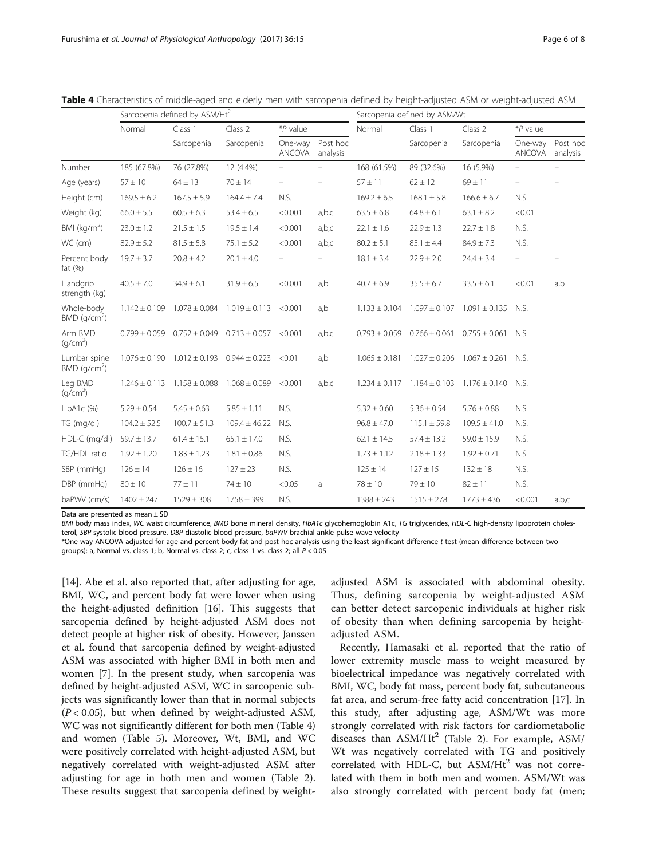|                                            | Sarcopenia defined by ASM/Ht <sup>2</sup> |                                     |                   |                          |                          | Sarcopenia defined by ASM/Wt |                   |                   |                          |                      |
|--------------------------------------------|-------------------------------------------|-------------------------------------|-------------------|--------------------------|--------------------------|------------------------------|-------------------|-------------------|--------------------------|----------------------|
|                                            | Normal                                    | Class 1                             | Class 2           | *P value                 |                          | Normal                       | Class 1           | Class 2           | $*P$ value               |                      |
|                                            |                                           | Sarcopenia                          | Sarcopenia        | One-way<br><b>ANCOVA</b> | Post hoc<br>analysis     |                              | Sarcopenia        | Sarcopenia        | One-way<br>ANCOVA        | Post hoc<br>analysis |
| Number                                     | 185 (67.8%)                               | 76 (27.8%)                          | 12 (4.4%)         | $\overline{\phantom{0}}$ | $\overline{\phantom{0}}$ | 168 (61.5%)                  | 89 (32.6%)        | 16 (5.9%)         |                          |                      |
| Age (years)                                | $57 \pm 10$                               | $64 \pm 13$                         | $70 \pm 14$       | $\overline{\phantom{0}}$ |                          | $57 \pm 11$                  | $62 \pm 12$       | $69 \pm 11$       | $\overline{\phantom{0}}$ |                      |
| Height (cm)                                | $169.5 \pm 6.2$                           | $167.5 \pm 5.9$                     | $164.4 \pm 7.4$   | N.S.                     |                          | $169.2 \pm 6.5$              | $168.1 \pm 5.8$   | $166.6 \pm 6.7$   | N.S.                     |                      |
| Weight (kg)                                | $66.0 \pm 5.5$                            | $60.5 \pm 6.3$                      | $53.4 \pm 6.5$    | < 0.001                  | a,b,c                    | $63.5 \pm 6.8$               | $64.8 \pm 6.1$    | $63.1 \pm 8.2$    | < 0.01                   |                      |
| BMI ( $kg/m2$ )                            | $23.0 \pm 1.2$                            | $21.5 \pm 1.5$                      | $19.5 \pm 1.4$    | < 0.001                  | a,b,c                    | $22.1 \pm 1.6$               | $22.9 \pm 1.3$    | $22.7 \pm 1.8$    | N.S.                     |                      |
| WC (cm)                                    | $82.9 \pm 5.2$                            | $81.5 \pm 5.8$                      | $75.1 \pm 5.2$    | < 0.001                  | a,b,c                    | $80.2 \pm 5.1$               | $85.1 \pm 4.4$    | $84.9 \pm 7.3$    | N.S.                     |                      |
| Percent body<br>fat $(\%)$                 | $19.7 \pm 3.7$                            | $20.8 \pm 4.2$                      | $20.1 \pm 4.0$    |                          |                          | $18.1 \pm 3.4$               | $22.9 \pm 2.0$    | $24.4 \pm 3.4$    |                          |                      |
| Handgrip<br>strength (kg)                  | $40.5 \pm 7.0$                            | $34.9 \pm 6.1$                      | $31.9 \pm 6.5$    | < 0.001                  | a,b                      | $40.7 \pm 6.9$               | $35.5 \pm 6.7$    | $33.5 \pm 6.1$    | < 0.01                   | a,b                  |
| Whole-body<br>$BMD$ (q/cm <sup>2</sup> )   | $1.142 \pm 0.109$                         | $1.078 \pm 0.084$                   | $1.019 \pm 0.113$ | < 0.001                  | a,b                      | $1.133 \pm 0.104$            | $1.097 \pm 0.107$ | $1.091 \pm 0.135$ | N.S.                     |                      |
| Arm BMD<br>(g/cm <sup>2</sup> )            | $0.799 \pm 0.059$                         | $0.752 \pm 0.049$                   | $0.713 \pm 0.057$ | < 0.001                  | a,b,c                    | $0.793 \pm 0.059$            | $0.766 \pm 0.061$ | $0.755 \pm 0.061$ | N.S.                     |                      |
| Lumbar spine<br>$BMD$ (g/cm <sup>2</sup> ) |                                           | $1.076 \pm 0.190$ $1.012 \pm 0.193$ | $0.944 \pm 0.223$ | < 0.01                   | a,b                      | $1.065 \pm 0.181$            | $1.027 \pm 0.206$ | $1.067 \pm 0.261$ | N.S.                     |                      |
| Leg BMD<br>(q/cm <sup>2</sup> )            | $1.246 \pm 0.113$                         | $1.158 \pm 0.088$                   | $1.068 \pm 0.089$ | < 0.001                  | a,b,c                    | $1.234 \pm 0.117$            | $1.184 \pm 0.103$ | $1.176 \pm 0.140$ | N.S.                     |                      |
| HbA1c (%)                                  | $5.29 \pm 0.54$                           | $5.45 \pm 0.63$                     | $5.85 \pm 1.11$   | N.S.                     |                          | $5.32 \pm 0.60$              | $5.36 \pm 0.54$   | $5.76 \pm 0.88$   | N.S.                     |                      |
| TG (mg/dl)                                 | $104.2 \pm 52.5$                          | $100.7 \pm 51.3$                    | $109.4 \pm 46.22$ | N.S.                     |                          | $96.8 \pm 47.0$              | $115.1 \pm 59.8$  | $109.5 \pm 41.0$  | N.S.                     |                      |
| HDL-C (mg/dl)                              | $59.7 \pm 13.7$                           | $61.4 \pm 15.1$                     | $65.1 \pm 17.0$   | N.S.                     |                          | $62.1 \pm 14.5$              | $57.4 \pm 13.2$   | $59.0 \pm 15.9$   | N.S.                     |                      |
| TG/HDL ratio                               | $1.92 \pm 1.20$                           | $1.83 \pm 1.23$                     | $1.81 \pm 0.86$   | N.S.                     |                          | $1.73 \pm 1.12$              | $2.18 \pm 1.33$   | $1.92 \pm 0.71$   | N.S.                     |                      |
| SBP (mmHg)                                 | $126 \pm 14$                              | $126 \pm 16$                        | $127 \pm 23$      | N.S.                     |                          | $125 \pm 14$                 | $127 \pm 15$      | $132 \pm 18$      | N.S.                     |                      |
| DBP (mmHg)                                 | $80 \pm 10$                               | $77 \pm 11$                         | $74 \pm 10$       | < 0.05                   | a                        | $78 \pm 10$                  | $79 \pm 10$       | $82 \pm 11$       | N.S.                     |                      |
| baPWV (cm/s)                               | $1402 \pm 247$                            | $1529 \pm 308$                      | $1758 \pm 399$    | N.S.                     |                          | $1388 \pm 243$               | $1515 \pm 278$    | $1773 \pm 436$    | < 0.001                  | a,b,c                |

<span id="page-5-0"></span>Table 4 Characteristics of middle-aged and elderly men with sarcopenia defined by height-adjusted ASM or weight-adjusted ASM

Data are presented as mean ± SD

BMI body mass index, WC waist circumference, BMD bone mineral density, HbA1c glycohemoglobin A1c, TG triglycerides, HDL-C high-density lipoprotein cholesterol, SBP systolic blood pressure, DBP diastolic blood pressure, baPWV brachial-ankle pulse wave velocity

\*One-way ANCOVA adjusted for age and percent body fat and post hoc analysis using the least significant difference t test (mean difference between two groups): a, Normal vs. class 1; b, Normal vs. class 2; c, class 1 vs. class 2; all  $P < 0.05$ 

[[14\]](#page-7-0). Abe et al. also reported that, after adjusting for age, BMI, WC, and percent body fat were lower when using the height-adjusted definition [\[16\]](#page-7-0). This suggests that sarcopenia defined by height-adjusted ASM does not detect people at higher risk of obesity. However, Janssen et al. found that sarcopenia defined by weight-adjusted ASM was associated with higher BMI in both men and women [\[7\]](#page-7-0). In the present study, when sarcopenia was defined by height-adjusted ASM, WC in sarcopenic subjects was significantly lower than that in normal subjects  $(P < 0.05)$ , but when defined by weight-adjusted ASM, WC was not significantly different for both men (Table 4) and women (Table [5\)](#page-6-0). Moreover, Wt, BMI, and WC were positively correlated with height-adjusted ASM, but negatively correlated with weight-adjusted ASM after adjusting for age in both men and women (Table [2](#page-3-0)). These results suggest that sarcopenia defined by weight-

adjusted ASM is associated with abdominal obesity. Thus, defining sarcopenia by weight-adjusted ASM can better detect sarcopenic individuals at higher risk of obesity than when defining sarcopenia by heightadjusted ASM.

Recently, Hamasaki et al. reported that the ratio of lower extremity muscle mass to weight measured by bioelectrical impedance was negatively correlated with BMI, WC, body fat mass, percent body fat, subcutaneous fat area, and serum-free fatty acid concentration [\[17](#page-7-0)]. In this study, after adjusting age, ASM/Wt was more strongly correlated with risk factors for cardiometabolic diseases than  $ASM/Ht^2$  (Table [2](#page-3-0)). For example,  $ASM/$ Wt was negatively correlated with TG and positively correlated with HDL-C, but  $\text{ASM/} \text{H} \text{t}^2$  was not correlated with them in both men and women. ASM/Wt was also strongly correlated with percent body fat (men;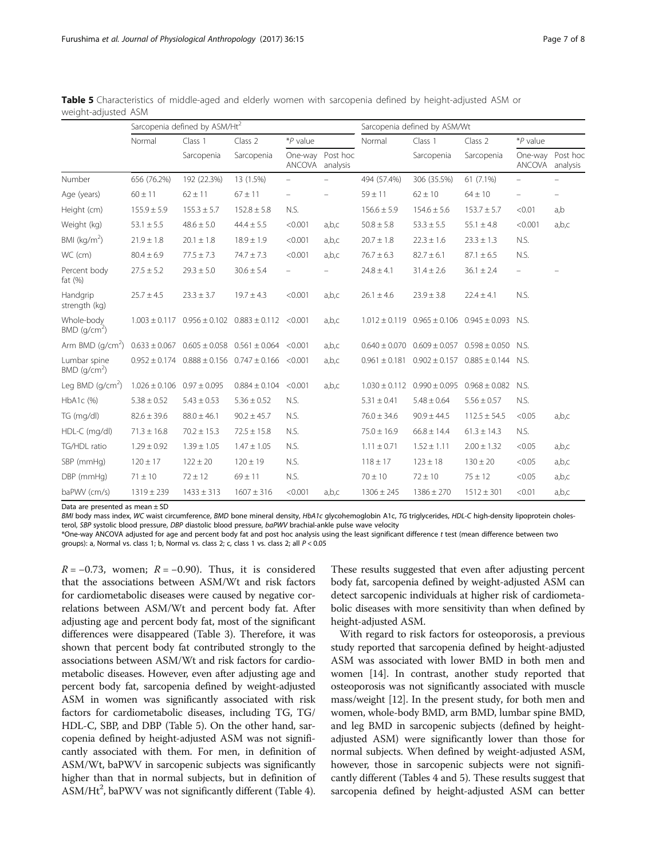|                                            | Sarcopenia defined by ASM/Ht <sup>2</sup> |                                                              |                                            |                          |                      | Sarcopenia defined by ASM/Wt |                                     |                                                            |                                     |                   |
|--------------------------------------------|-------------------------------------------|--------------------------------------------------------------|--------------------------------------------|--------------------------|----------------------|------------------------------|-------------------------------------|------------------------------------------------------------|-------------------------------------|-------------------|
|                                            | Normal<br>Class 1                         |                                                              | Class 2<br>*P value                        |                          |                      | Normal                       | Class 1                             | Class 2                                                    | *P value                            |                   |
|                                            |                                           | Sarcopenia                                                   | Sarcopenia                                 | One-way<br>ANCOVA        | Post hoc<br>analysis |                              | Sarcopenia                          | Sarcopenia                                                 | One-way Post hoc<br>ANCOVA analysis |                   |
| Number                                     | 656 (76.2%)                               | 192 (22.3%)                                                  | 13 (1.5%)                                  | $\overline{\phantom{0}}$ |                      | 494 (57.4%)                  | 306 (35.5%)                         | 61 (7.1%)                                                  | $\overline{\phantom{0}}$            |                   |
| Age (years)                                | $60 \pm 11$                               | $62 \pm 11$                                                  | $67 \pm 11$                                | $\overline{\phantom{0}}$ |                      | $59 \pm 11$                  | $62 \pm 10$                         | $64 \pm 10$                                                | $\overline{\phantom{0}}$            | $\qquad \qquad -$ |
| Height (cm)                                | $155.9 \pm 5.9$                           | $155.3 \pm 5.7$                                              | $152.8 \pm 5.8$                            | N.S.                     |                      | $156.6 \pm 5.9$              | $154.6 \pm 5.6$                     | $153.7 \pm 5.7$                                            | < 0.01                              | a,b               |
| Weight (kg)                                | $53.1 \pm 5.5$                            | $48.6 \pm 5.0$                                               | $44.4 \pm 5.5$                             | < 0.001                  | a,b,c                | $50.8 \pm 5.8$               | $53.3 \pm 5.5$                      | $55.1 \pm 4.8$                                             | < 0.001                             | a,b,c             |
| BMI $(kg/m2)$                              | $21.9 \pm 1.8$                            | $20.1 \pm 1.8$                                               | $18.9 \pm 1.9$                             | < 0.001                  | a,b,c                | $20.7 \pm 1.8$               | $22.3 \pm 1.6$                      | $23.3 \pm 1.3$                                             | N.S.                                |                   |
| WC (cm)                                    | $80.4 \pm 6.9$                            | $77.5 \pm 7.3$                                               | $74.7 \pm 7.3$                             | < 0.001                  | a,b,c                | $76.7 \pm 6.3$               | $82.7 \pm 6.1$                      | $87.1 \pm 6.5$                                             | N.S.                                |                   |
| Percent body<br>fat $(%)$                  | $27.5 \pm 5.2$                            | $29.3 \pm 5.0$                                               | $30.6 \pm 5.4$                             | $\overline{\phantom{0}}$ |                      | $24.8 \pm 4.1$               | $31.4 \pm 2.6$                      | $36.1 \pm 2.4$                                             | $\overline{\phantom{0}}$            |                   |
| Handgrip<br>strength (kg)                  | $25.7 \pm 4.5$                            | $23.3 \pm 3.7$                                               | $19.7 \pm 4.3$                             | < 0.001                  | a,b,c                | $26.1 \pm 4.6$               | $23.9 \pm 3.8$                      | $22.4 \pm 4.1$                                             | N.S.                                |                   |
| Whole-body<br>$BMD$ (g/cm <sup>2</sup> )   |                                           | $1.003 \pm 0.117$ $0.956 \pm 0.102$ $0.883 \pm 0.112$ <0.001 |                                            |                          | a,b,c                |                              |                                     | $1.012 \pm 0.119$ 0.965 $\pm$ 0.106 0.945 $\pm$ 0.093 N.S. |                                     |                   |
| Arm BMD (g/cm <sup>2</sup> )               | $0.633 \pm 0.067$                         |                                                              | $0.605 \pm 0.058$ $0.561 \pm 0.064$ <0.001 |                          | a,b,c                | $0.640 \pm 0.070$            | $0.609 \pm 0.057$                   | $0.598 \pm 0.050$ N.S.                                     |                                     |                   |
| Lumbar spine<br>$BMD$ (g/cm <sup>2</sup> ) | $0.952 \pm 0.174$                         | $0.888 \pm 0.156$ $0.747 \pm 0.166$ <0.001                   |                                            |                          | a,b,c                |                              |                                     | $0.961 \pm 0.181$ $0.902 \pm 0.157$ $0.885 \pm 0.144$ N.S. |                                     |                   |
| Leg BMD $(q/cm2)$                          | $1.026 \pm 0.106$                         | $0.97 \pm 0.095$                                             | $0.884 \pm 0.104$                          | < 0.001                  | a,b,c                |                              | $1.030 \pm 0.112$ 0.990 $\pm$ 0.095 | $0.968 \pm 0.082$ N.S.                                     |                                     |                   |
| HbA1c (%)                                  | $5.38 \pm 0.52$                           | $5.43 \pm 0.53$                                              | $5.36 \pm 0.52$                            | N.S.                     |                      | $5.31 \pm 0.41$              | $5.48 \pm 0.64$                     | $5.56 \pm 0.57$                                            | N.S.                                |                   |
| TG (mg/dl)                                 | $82.6 \pm 39.6$                           | $88.0 \pm 46.1$                                              | $90.2 \pm 45.7$                            | N.S.                     |                      | $76.0 \pm 34.6$              | $90.9 \pm 44.5$                     | $112.5 \pm 54.5$                                           | < 0.05                              | a,b,c             |
| HDL-C (mg/dl)                              | $71.3 \pm 16.8$                           | $70.2 \pm 15.3$                                              | $72.5 \pm 15.8$                            | N.S.                     |                      | $75.0 \pm 16.9$              | $66.8 \pm 14.4$                     | $61.3 \pm 14.3$                                            | N.S.                                |                   |
| TG/HDL ratio                               | $1.29 \pm 0.92$                           | $1.39 \pm 1.05$                                              | $1.47 \pm 1.05$                            | N.S.                     |                      | $1.11 \pm 0.71$              | $1.52 \pm 1.11$                     | $2.00 \pm 1.32$                                            | < 0.05                              | a,b,c             |
| SBP (mmHg)                                 | $120 \pm 17$                              | $122 \pm 20$                                                 | $120 \pm 19$                               | N.S.                     |                      | $118 \pm 17$                 | $123 \pm 18$                        | $130 \pm 20$                                               | < 0.05                              | a,b,c             |
| DBP (mmHg)                                 | $71 \pm 10$                               | $72 \pm 12$                                                  | $69 \pm 11$                                | N.S.                     |                      | $70 \pm 10$                  | $72 \pm 10$                         | $75 \pm 12$                                                | < 0.05                              | a,b,c             |
| baPWV (cm/s)                               | $1319 \pm 239$                            | $1433 \pm 313$                                               | $1607 \pm 316$                             | < 0.001                  | a,b,c                | $1306 \pm 245$               | $1386 \pm 270$                      | $1512 \pm 301$                                             | < 0.01                              | a,b,c             |

<span id="page-6-0"></span>Table 5 Characteristics of middle-aged and elderly women with sarcopenia defined by height-adjusted ASM or weight-adjusted ASM

Data are presented as mean ± SD

BMI body mass index, WC waist circumference, BMD bone mineral density, HbA1c glycohemoglobin A1c, TG triglycerides, HDL-C high-density lipoprotein cholesterol, SBP systolic blood pressure, DBP diastolic blood pressure, baPWV brachial-ankle pulse wave velocity

\*One-way ANCOVA adjusted for age and percent body fat and post hoc analysis using the least significant difference t test (mean difference between two groups): a, Normal vs. class 1; b, Normal vs. class 2; c, class 1 vs. class 2; all  $P < 0.05$ 

 $R = -0.73$ , women;  $R = -0.90$ ). Thus, it is considered that the associations between ASM/Wt and risk factors for cardiometabolic diseases were caused by negative correlations between ASM/Wt and percent body fat. After adjusting age and percent body fat, most of the significant differences were disappeared (Table [3\)](#page-4-0). Therefore, it was shown that percent body fat contributed strongly to the associations between ASM/Wt and risk factors for cardiometabolic diseases. However, even after adjusting age and percent body fat, sarcopenia defined by weight-adjusted ASM in women was significantly associated with risk factors for cardiometabolic diseases, including TG, TG/ HDL-C, SBP, and DBP (Table 5). On the other hand, sarcopenia defined by height-adjusted ASM was not significantly associated with them. For men, in definition of ASM/Wt, baPWV in sarcopenic subjects was significantly higher than that in normal subjects, but in definition of  $\text{ASM}/\text{Ht}^2$ , baPWV was not significantly different (Table [4](#page-5-0)).

These results suggested that even after adjusting percent body fat, sarcopenia defined by weight-adjusted ASM can detect sarcopenic individuals at higher risk of cardiometabolic diseases with more sensitivity than when defined by height-adjusted ASM.

With regard to risk factors for osteoporosis, a previous study reported that sarcopenia defined by height-adjusted ASM was associated with lower BMD in both men and women [\[14\]](#page-7-0). In contrast, another study reported that osteoporosis was not significantly associated with muscle mass/weight [\[12\]](#page-7-0). In the present study, for both men and women, whole-body BMD, arm BMD, lumbar spine BMD, and leg BMD in sarcopenic subjects (defined by heightadjusted ASM) were significantly lower than those for normal subjects. When defined by weight-adjusted ASM, however, those in sarcopenic subjects were not significantly different (Tables [4](#page-5-0) and 5). These results suggest that sarcopenia defined by height-adjusted ASM can better